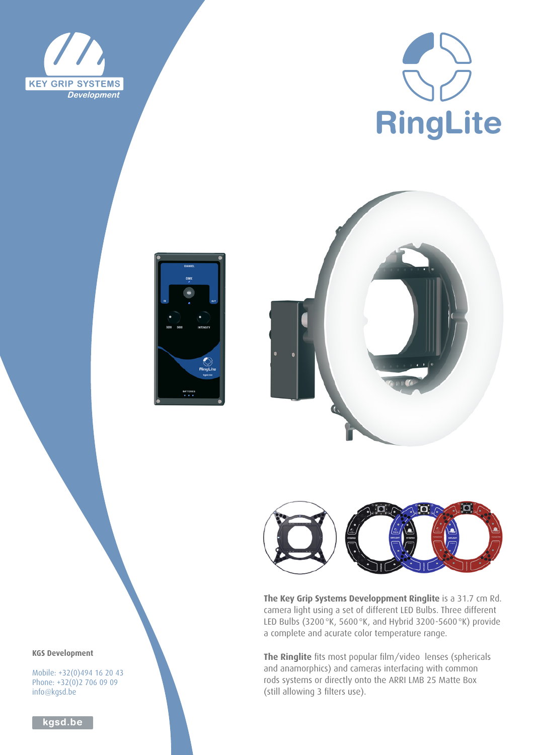







**The Key Grip Systems Developpment Ringlite** is a 31.7 cm Rd. camera light using a set of different LED Bulbs. Three different LED Bulbs (3200°K, 5600°K, and Hybrid 3200-5600°K) provide a complete and acurate color temperature range.

**The Ringlite** fits most popular film/video lenses (sphericals and anamorphics) and cameras interfacing with common rods systems or directly onto the ARRI LMB 25 Matte Box (still allowing 3 filters use).

**KGS Development**

Mobile: +32(0)494 16 20 43 Phone: +32(0)2 706 09 09 info@kgsd.be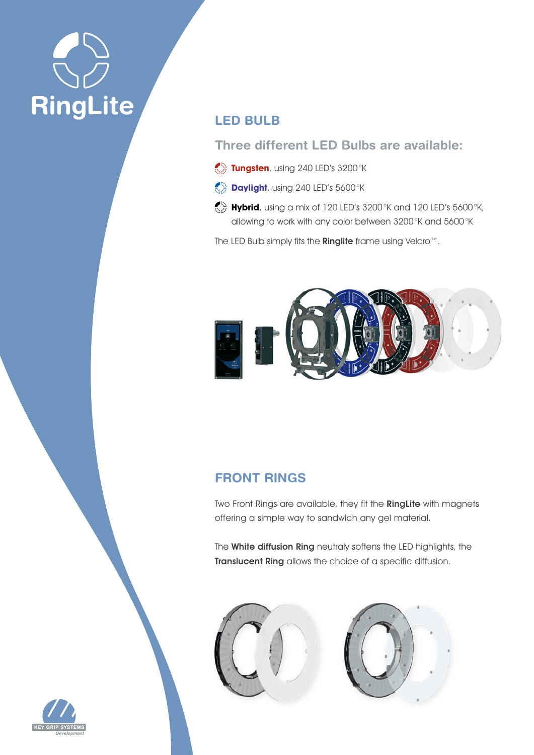

# **LED BULB**

# **Three different LED Bulbs are available:**

- **Tungsten**, using 240 LED's 3200°K
- **Daylight**, using 240 LED's 5600°K
- **Hybrid**, using a mix of 120 LED's 3200°K and 120 LED's 5600°K, allowing to work with any color between 3200°K and 5600°K

The LED Bulb simply fits the Ringlite frame using Velcro™.



# **FRONT RINGS**

Two Front Rings are available, they fit the RingLite with magnets offering a simple way to sandwich any gel material.

The White diffusion Ring neutraly softens the LED highlights, the Translucent Ring allows the choice of a specific diffusion.





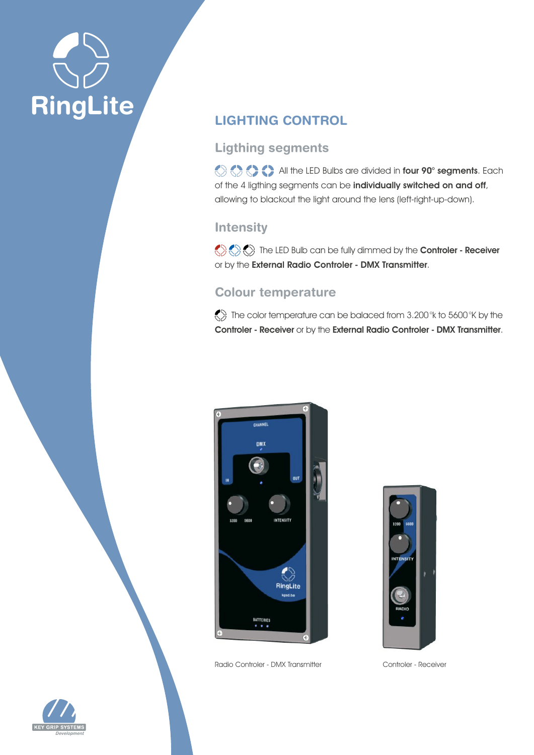

# **LIGHTING CONTROL**

### **Ligthing segments**

All the LED Bulbs are divided in four 90° segments. Each of the 4 ligthing segments can be individually switched on and off, allowing to blackout the light around the lens (left-right-up-down).

### **Intensity**

 $\langle \rangle \langle \rangle$ or by the External Radio Controler - DMX Transmitter.

# **Colour temperature**

 $\ll$  The color temperature can be balaced from 3.200°k to 5600°K by the Controler - Receiver or by the External Radio Controler - DMX Transmitter.



Radio Controler - DMX Transmitter Controler - Receiver



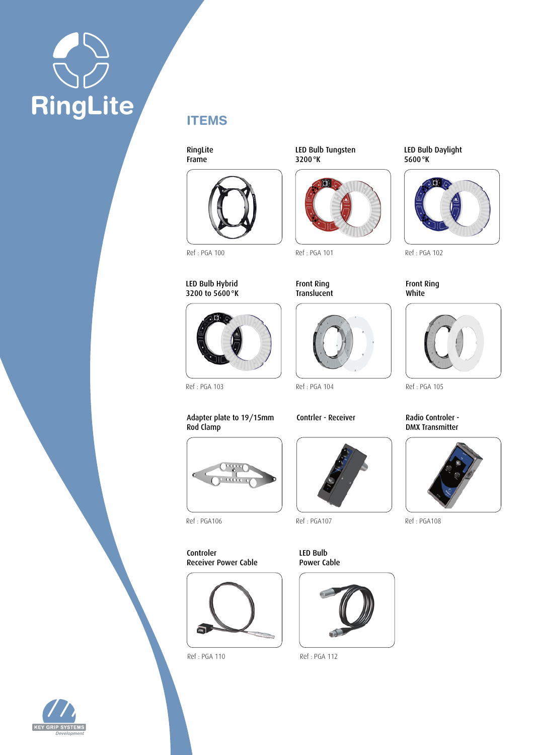# **RingLite**



**ITEMS**

RingLite Frame

LED Bulb Tungsten 3200°K



Ref : PGA 101 Ref : PGA 102

#### Front Ring Translucent



LED Bulb Daylight 5600°K



Front Ring White



# DMX Transmitter



Ref : PGA106 Ref : PGA107 Ref : PGA108

Ref : PGA 103 Ref : PGA 104 Ref : PGA 105

Adapter plate to 19/15mm Rod Clamp



Controler Receiver Power Cable



LED Bulb Power Cable



Ref : PGA 110 Ref : PGA 112



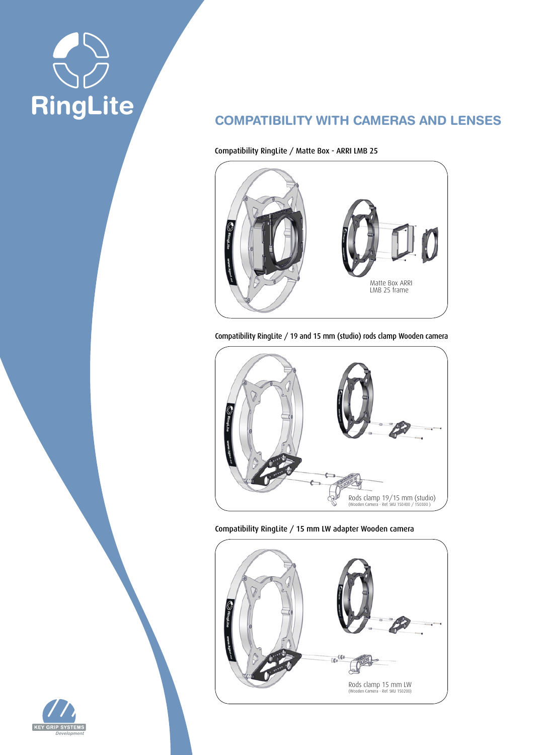

## **COMPATIBILITY WITH CAMERAS AND LENSES**

Compatibility RingLite / Matte Box - ARRI LMB 25



Compatibility RingLite / 19 and 15 mm (studio) rods clamp Wooden camera



Compatibility RingLite / 15 mm LW adapter Wooden camera



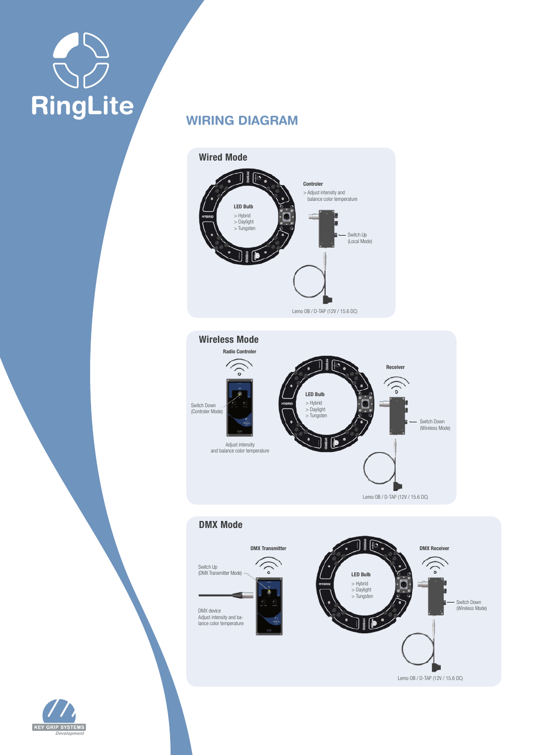# J **RingLite**

# **WIRING DIAGRAM**







**KEY GRIP SYSTE**